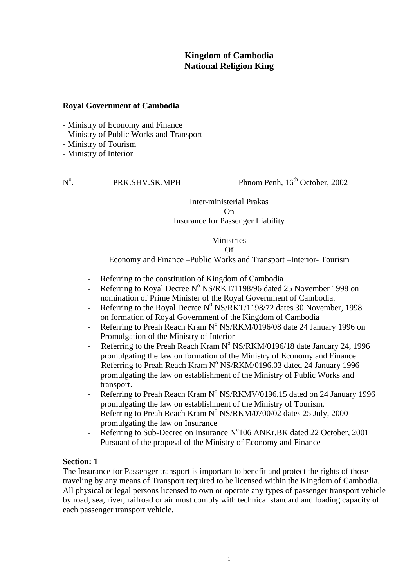# **Kingdom of Cambodia National Religion King**

#### **Royal Government of Cambodia**

- Ministry of Economy and Finance

- Ministry of Public Works and Transport

- Ministry of Tourism

- Ministry of Interior

## $N^{\rm o}$ .

PRK.SHV.SK.MPH Phnom Penh, 16<sup>th</sup> October, 2002

## Inter-ministerial Prakas On Insurance for Passenger Liability

Ministries Of

Economy and Finance –Public Works and Transport –Interior- Tourism

- Referring to the constitution of Kingdom of Cambodia
- Referring to Royal Decree  $N^{\circ}$  NS/RKT/1198/96 dated 25 November 1998 on nomination of Prime Minister of the Royal Government of Cambodia.
- Referring to the Royal Decree  $N^0$  NS/RKT/1198/72 dates 30 November, 1998 on formation of Royal Government of the Kingdom of Cambodia
- Referring to Preah Reach Kram  $N^{\circ}$  NS/RKM/0196/08 date 24 January 1996 on Promulgation of the Ministry of Interior
- Referring to the Preah Reach Kram  $N^{\circ}$  NS/RKM/0196/18 date January 24, 1996 promulgating the law on formation of the Ministry of Economy and Finance
- Referring to Preah Reach Kram N° NS/RKM/0196.03 dated 24 January 1996 promulgating the law on establishment of the Ministry of Public Works and transport.
- Referring to Preah Reach Kram N° NS/RKMV/0196.15 dated on 24 January 1996 promulgating the law on establishment of the Ministry of Tourism.
- Referring to Preah Reach Kram  $N^{\circ}$  NS/RKM/0700/02 dates 25 July, 2000 promulgating the law on Insurance
- Referring to Sub-Decree on Insurance N°106 ANKr.BK dated 22 October, 2001
- Pursuant of the proposal of the Ministry of Economy and Finance

#### **Section: 1**

The Insurance for Passenger transport is important to benefit and protect the rights of those traveling by any means of Transport required to be licensed within the Kingdom of Cambodia. All physical or legal persons licensed to own or operate any types of passenger transport vehicle by road, sea, river, railroad or air must comply with technical standard and loading capacity of each passenger transport vehicle.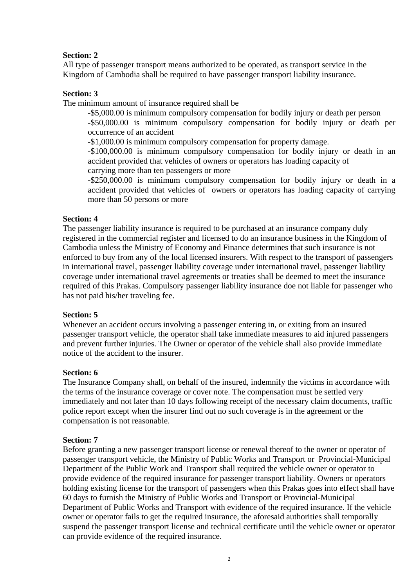## **Section: 2**

All type of passenger transport means authorized to be operated, as transport service in the Kingdom of Cambodia shall be required to have passenger transport liability insurance.

## **Section: 3**

The minimum amount of insurance required shall be

-\$5,000.00 is minimum compulsory compensation for bodily injury or death per person -\$50,000.00 is minimum compulsory compensation for bodily injury or death per occurrence of an accident

-\$1,000.00 is minimum compulsory compensation for property damage.

-\$100,000.00 is minimum compulsory compensation for bodily injury or death in an accident provided that vehicles of owners or operators has loading capacity of carrying more than ten passengers or more

-\$250,000.00 is minimum compulsory compensation for bodily injury or death in a accident provided that vehicles of owners or operators has loading capacity of carrying more than 50 persons or more

## **Section: 4**

The passenger liability insurance is required to be purchased at an insurance company duly registered in the commercial register and licensed to do an insurance business in the Kingdom of Cambodia unless the Ministry of Economy and Finance determines that such insurance is not enforced to buy from any of the local licensed insurers. With respect to the transport of passengers in international travel, passenger liability coverage under international travel, passenger liability coverage under international travel agreements or treaties shall be deemed to meet the insurance required of this Prakas. Compulsory passenger liability insurance doe not liable for passenger who has not paid his/her traveling fee.

#### **Section: 5**

Whenever an accident occurs involving a passenger entering in, or exiting from an insured passenger transport vehicle, the operator shall take immediate measures to aid injured passengers and prevent further injuries. The Owner or operator of the vehicle shall also provide immediate notice of the accident to the insurer.

#### **Section: 6**

The Insurance Company shall, on behalf of the insured, indemnify the victims in accordance with the terms of the insurance coverage or cover note. The compensation must be settled very immediately and not later than 10 days following receipt of the necessary claim documents, traffic police report except when the insurer find out no such coverage is in the agreement or the compensation is not reasonable.

## **Section: 7**

Before granting a new passenger transport license or renewal thereof to the owner or operator of passenger transport vehicle, the Ministry of Public Works and Transport or Provincial-Municipal Department of the Public Work and Transport shall required the vehicle owner or operator to provide evidence of the required insurance for passenger transport liability. Owners or operators holding existing license for the transport of passengers when this Prakas goes into effect shall have 60 days to furnish the Ministry of Public Works and Transport or Provincial-Municipal Department of Public Works and Transport with evidence of the required insurance. If the vehicle owner or operator fails to get the required insurance, the aforesaid authorities shall temporally suspend the passenger transport license and technical certificate until the vehicle owner or operator can provide evidence of the required insurance.